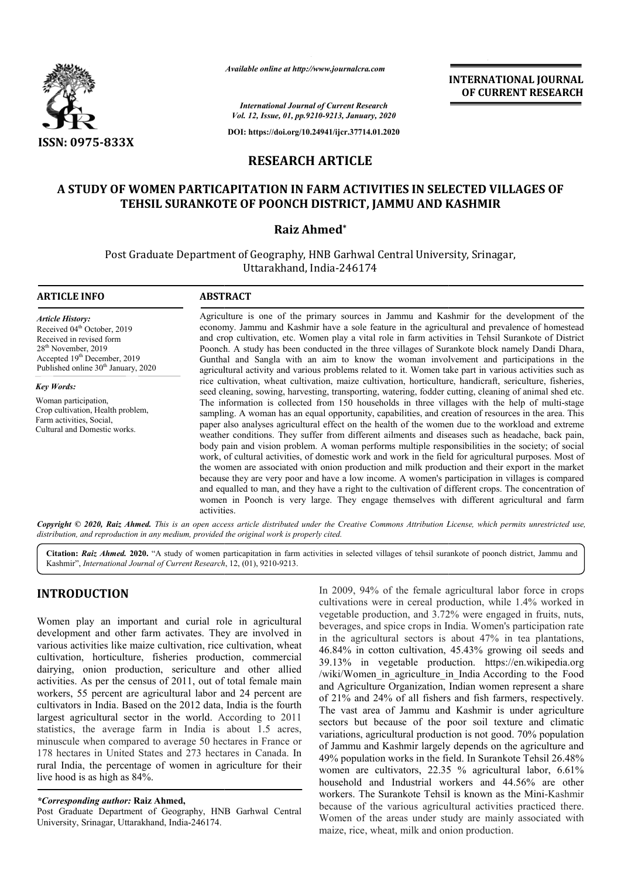

*Available online at http://www.journalcra.com*

**INTERNATIONAL JOURNAL OF CURRENT RESEARCH**

*International Journal of Current Research Vol. 12, Issue, 01, pp.9210-9213, January, 2020*

**DOI: https://doi.org/10.24941/ijcr.37714.01.2020**

# **RESEARCH ARTICLE**

# **A STUDY OF WOMEN PARTICAPITATION IN FARM ACTIVITIES IN SELECTED SELECTED VILLAGES OF TEHSIL SURANKOTE OF POONCH DISTRICT, JAMMU AND KASHMIR**

# **Raiz Ahmed\***

Post Graduate Department of Geography, HNB Garhwal Central University University, Srinagar, Uttarakhand, India-246174

## **ARTICLE INFO ABSTRACT**

*Article History:* Received 04<sup>th</sup> October, 2019 Received in revised form 28<sup>th</sup> November, 2019 Accepted 19<sup>th</sup> December, 2019 Published online  $30<sup>th</sup>$  January, 2020

*Key Words:* Woman participation, Crop cultivation, Health problem, Farm activities, Social, Cultural and Domestic works.

Agriculture is one of the primary sources in Jammu and Kashmir for the development of the economy. Jammu and Kashmir have a sole feature in the agricultural and prevalence of homestead and crop cultivation, etc. Women play a vital role in farm activities in Tehsil Surankote of District Poonch. A study has been conducted in the three villages of Surankote block namely Dandi Dhara, Gunthal and Sangla with an aim to know the woman involvement and participations in the agricultural activity and various problems related to it. Women take part in various activities such as rice cultivation, wheat cultivation, maize cultivation, horticulture, handicraft, sericulture, fisheries, seed cleaning, sowing, harvesting, transporting, watering, fodder cutting, cleaning of animal shed etc. The information is collected from 150 households in three villages villages with the help of multi-stage sampling. A woman has an equal opportunity, capabilities, and creation of resources in the area. This paper also analyses agricultural effect on the health of the women due to the workload and extreme weather conditions. They suffer from different ailments and diseases such as headache, back pain, body pain and vision problem. A woman performs multiple responsibilities in the society; of social work, of cultural activities, of domestic work and work in the field for agricultural purposes. Most of the women are associated with onion production and milk production and their export in the market because they are very poor and have a low income. A women's participation in villages is compared and equalled to man, and they have a right to the cultivation of different crops. The concentration of women in Poonch is very large. They engage themselves with different agricultural and farm activities.

Copyright © 2020, Raiz Ahmed. This is an open access article distributed under the Creative Commons Attribution License, which permits unrestricted use, *distribution, and reproduction in any medium, provided the original work is properly cited.*

Citation: Raiz Ahmed. 2020. "A study of women particapitation in farm activities in selected villages of tehsil surankote of poonch district, Jammu and Kashmir", *International Journal of Current Research* , 12, (01), 9210-9213.

# **INTRODUCTION**

Women play an important and curial role in agricultural development and other farm activates. They are involved in various activities like maize cultivation, rice cultivation, wheat cultivation, horticulture, fisheries production, commercial dairying, onion production, sericulture and other allied activities. As per the census of 2011, out of total female main workers, 55 percent are agricultural labor and 24 percent are cultivators in India. Based on the 2012 data, India is the fourth largest agricultural sector in the world. According to 2011 statistics, the average farm in India is about 1.5 acres, minuscule when compared to average 50 hectares in France or 178 hectares in United States and 273 hectares in Canada. In rural India, the percentage of women in agriculture for their live hood is as high as 84%.

In 2009, 94% of the female agricultural labor force in crops cultivations were in cereal production, while 1.4% worked in vegetable production, and 3.72% were engaged in fruits, nuts, beverages, and spice crops in India. Women's participation rate in the agricultural sectors is about 47% in tea plantations, 46.84% in cotton cultivation, 45.43% growing oil seeds and 39.13% in vegetable production. https://en.wikipedia.org /wiki/Women\_in\_agriculture\_in\_India According to the Food and Agriculture Organization, Indian women represent a share of 21% and 24% of all fishers and fish farmers, respectively. The vast area of Jammu and Kashmir is under agriculture sectors but because of the poor soil texture and climatic variations, agricultural production is not good. 70% population of Jammu and Kashmir largely depends on the agriculture and 49% population works in the field. In Surankote Tehsil 26.48% women are cultivators, 22.35 % agricultural labor, 6.61% household and Industrial workers and 44.56% are other workers. The Surankote Tehsil is known as the Mini-Kashmir because of the various agricultural activities practiced there. Women of the areas under study are mainly associated with maize, rice, wheat, milk and onion production.

*<sup>\*</sup>Corresponding author:* **Raiz Ahmed,**

Post Graduate Department of Geography, HNB Garhwal Central University, Srinagar, Uttarakhand, India-246174.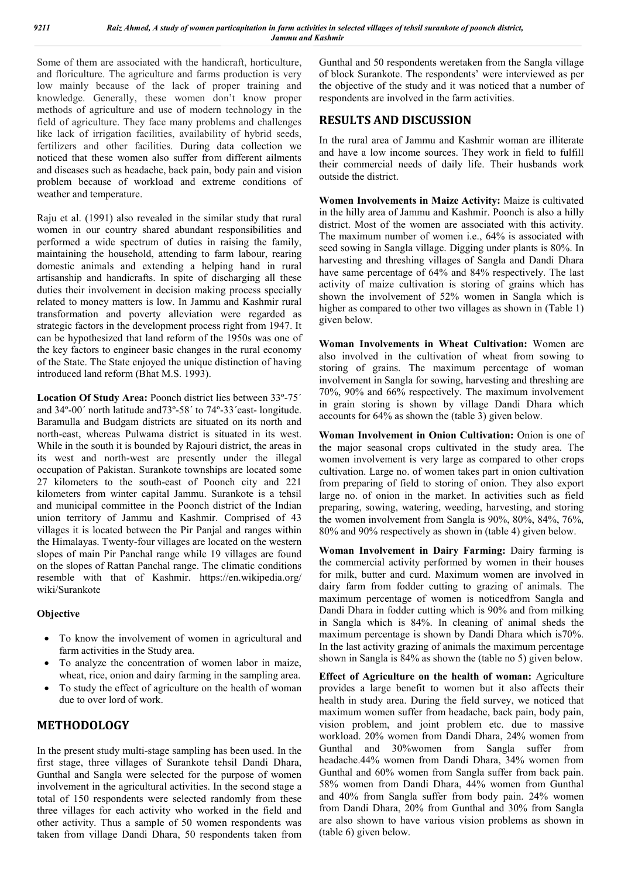Some of them are associated with the handicraft, horticulture, and floriculture. The agriculture and farms production is very low mainly because of the lack of proper training and knowledge. Generally, these women don't know proper methods of agriculture and use of modern technology in the field of agriculture. They face many problems and challenges like lack of irrigation facilities, availability of hybrid seeds, fertilizers and other facilities. During data collection we noticed that these women also suffer from different ailments and diseases such as headache, back pain, body pain and vision problem because of workload and extreme conditions of weather and temperature.

Raju et al. (1991) also revealed in the similar study that rural women in our country shared abundant responsibilities and performed a wide spectrum of duties in raising the family, maintaining the household, attending to farm labour, rearing domestic animals and extending a helping hand in rural artisanship and handicrafts. In spite of discharging all these duties their involvement in decision making process specially related to money matters is low. In Jammu and Kashmir rural transformation and poverty alleviation were regarded as strategic factors in the development process right from 1947. It can be hypothesized that land reform of the 1950s was one of the key factors to engineer basic changes in the rural economy of the State. The State enjoyed the unique distinction of having introduced land reform (Bhat M.S. 1993).

**Location Of Study Area:** Poonch district lies between 33º-75´ and 34º-00´ north latitude and73º-58´ to 74º-33´east- longitude. Baramulla and Budgam districts are situated on its north and north-east, whereas Pulwama district is situated in its west. While in the south it is bounded by Rajouri district, the areas in its west and north-west are presently under the illegal occupation of Pakistan. Surankote townships are located some 27 kilometers to the south-east of Poonch city and 221 kilometers from winter capital Jammu. Surankote is a tehsil and municipal committee in the Poonch district of the Indian union territory of Jammu and Kashmir. Comprised of 43 villages it is located between the Pir Panjal and ranges within the Himalayas. Twenty-four villages are located on the western slopes of main Pir Panchal range while 19 villages are found on the slopes of Rattan Panchal range. The climatic conditions resemble with that of Kashmir. https://en.wikipedia.org/ wiki/Surankote

## **Objective**

- To know the involvement of women in agricultural and farm activities in the Study area.
- To analyze the concentration of women labor in maize, wheat, rice, onion and dairy farming in the sampling area.
- To study the effect of agriculture on the health of woman due to over lord of work.

# **METHODOLOGY**

In the present study multi-stage sampling has been used. In the first stage, three villages of Surankote tehsil Dandi Dhara, Gunthal and Sangla were selected for the purpose of women involvement in the agricultural activities. In the second stage a total of 150 respondents were selected randomly from these three villages for each activity who worked in the field and other activity. Thus a sample of 50 women respondents was taken from village Dandi Dhara, 50 respondents taken from

Gunthal and 50 respondents weretaken from the Sangla village of block Surankote. The respondents' were interviewed as per the objective of the study and it was noticed that a number of respondents are involved in the farm activities.

# **RESULTS AND DISCUSSION**

In the rural area of Jammu and Kashmir woman are illiterate and have a low income sources. They work in field to fulfill their commercial needs of daily life. Their husbands work outside the district.

**Women Involvements in Maize Activity:** Maize is cultivated in the hilly area of Jammu and Kashmir. Poonch is also a hilly district. Most of the women are associated with this activity. The maximum number of women i.e., 64% is associated with seed sowing in Sangla village. Digging under plants is 80%. In harvesting and threshing villages of Sangla and Dandi Dhara have same percentage of 64% and 84% respectively. The last activity of maize cultivation is storing of grains which has shown the involvement of 52% women in Sangla which is higher as compared to other two villages as shown in (Table 1) given below.

**Woman Involvements in Wheat Cultivation:** Women are also involved in the cultivation of wheat from sowing to storing of grains. The maximum percentage of woman involvement in Sangla for sowing, harvesting and threshing are 70%, 90% and 66% respectively. The maximum involvement in grain storing is shown by village Dandi Dhara which accounts for 64% as shown the (table 3) given below.

**Woman Involvement in Onion Cultivation:** Onion is one of the major seasonal crops cultivated in the study area. The women involvement is very large as compared to other crops cultivation. Large no. of women takes part in onion cultivation from preparing of field to storing of onion. They also export large no. of onion in the market. In activities such as field preparing, sowing, watering, weeding, harvesting, and storing the women involvement from Sangla is 90%, 80%, 84%, 76%, 80% and 90% respectively as shown in (table 4) given below.

**Woman Involvement in Dairy Farming:** Dairy farming is the commercial activity performed by women in their houses for milk, butter and curd. Maximum women are involved in dairy farm from fodder cutting to grazing of animals. The maximum percentage of women is noticedfrom Sangla and Dandi Dhara in fodder cutting which is 90% and from milking in Sangla which is 84%. In cleaning of animal sheds the maximum percentage is shown by Dandi Dhara which is70%. In the last activity grazing of animals the maximum percentage shown in Sangla is 84% as shown the (table no 5) given below.

**Effect of Agriculture on the health of woman:** Agriculture provides a large benefit to women but it also affects their health in study area. During the field survey, we noticed that maximum women suffer from headache, back pain, body pain, vision problem, and joint problem etc. due to massive workload. 20% women from Dandi Dhara, 24% women from Gunthal and 30%women from Sangla suffer from headache.44% women from Dandi Dhara, 34% women from Gunthal and 60% women from Sangla suffer from back pain. 58% women from Dandi Dhara, 44% women from Gunthal and 40% from Sangla suffer from body pain. 24% women from Dandi Dhara, 20% from Gunthal and 30% from Sangla are also shown to have various vision problems as shown in (table 6) given below.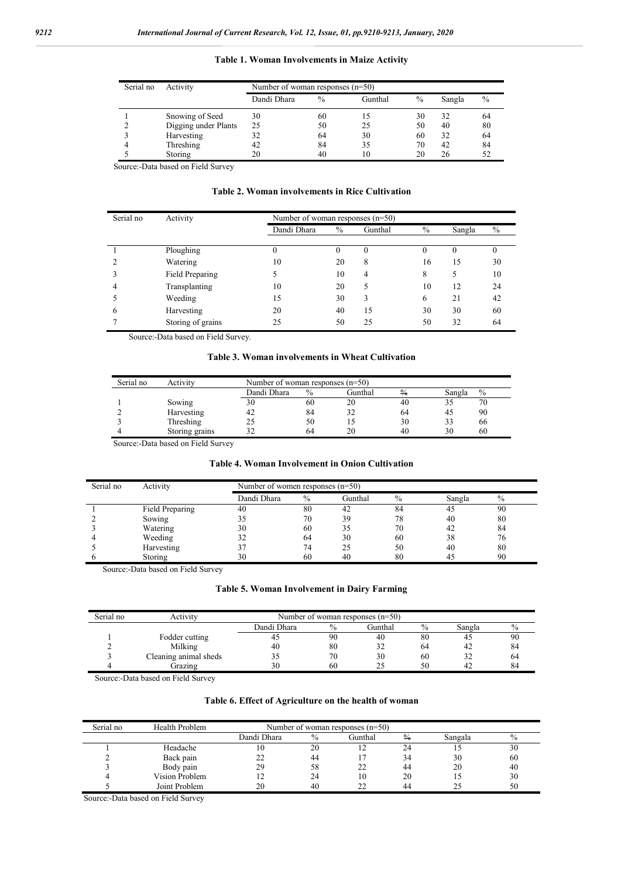| Serial no | Activity             | Number of woman responses $(n=50)$ |               |         |      |        |      |  |  |
|-----------|----------------------|------------------------------------|---------------|---------|------|--------|------|--|--|
|           |                      | Dandi Dhara                        | $\frac{0}{0}$ | Gunthal | $\%$ | Sangla | $\%$ |  |  |
|           | Snowing of Seed      | 30                                 | 60            | 15      | 30   | 32     | 64   |  |  |
|           | Digging under Plants | 25                                 | 50            | 25      | 50   | 40     | 80   |  |  |
|           | Harvesting           | 32                                 | 64            | 30      | 60   | 32     | 64   |  |  |
|           | Threshing            | 42                                 | 84            | 35      | 70   | 42     | 84   |  |  |
|           | Storing              |                                    | 40            | 10      | 20   | 26     |      |  |  |

**Table 1. Woman Involvements in Maize Activity**

Source:-Data based on Field Survey

### **Table 2. Woman involvements in Rice Cultivation**

| Serial no | Activity          | Number of woman responses $(n=50)$ |      |         |               |        |      |
|-----------|-------------------|------------------------------------|------|---------|---------------|--------|------|
|           |                   | Dandi Dhara                        | $\%$ | Gunthal | $\frac{0}{0}$ | Sangla | $\%$ |
|           |                   |                                    |      |         |               |        |      |
|           | Ploughing         | 0                                  | O    | 0       | $^{(1)}$      |        |      |
|           | Watering          | 10                                 | 20   | 8       | 16            | 15     | 30   |
|           | Field Preparing   |                                    | 10   | 4       | 8             | 5      | 10   |
| 4         | Transplanting     | 10                                 | 20   |         | 10            | 12     | 24   |
|           | Weeding           | 15                                 | 30   | 3       | 6             | 21     | 42   |
| 6         | Harvesting        | 20                                 | 40   | 15      | 30            | 30     | 60   |
|           | Storing of grains | 25                                 | 50   | 25      | 50            | 32     | 64   |

Source:-Data based on Field Survey.

#### **Table 3. Woman involvements in Wheat Cultivation**

| Serial no | Activity       |             | Number of woman responses $(n=50)$ |         |               |        |      |  |  |  |
|-----------|----------------|-------------|------------------------------------|---------|---------------|--------|------|--|--|--|
|           |                | Dandi Dhara | $\frac{0}{0}$                      | Gunthal | $\frac{0}{6}$ | Sangla | $\%$ |  |  |  |
|           | Sowing         | 30          | 60                                 | 20      | 40            |        | 70   |  |  |  |
|           | Harvesting     | 42          | 84                                 |         | 64            |        | 90   |  |  |  |
|           | Threshing      | 25          | 50                                 |         | 30            |        | 66   |  |  |  |
|           | Storing grains |             | 64                                 |         | 40            | 30     | 60   |  |  |  |

Source:-Data based on Field Survey

## **Table 4. Woman Involvement in Onion Cultivation**

| Serial no | Activity        |             | Number of women responses $(n=50)$ |         |      |        |      |  |  |  |
|-----------|-----------------|-------------|------------------------------------|---------|------|--------|------|--|--|--|
|           |                 | Dandi Dhara | $\%$                               | Gunthal | $\%$ | Sangla | $\%$ |  |  |  |
|           | Field Preparing | 40          | 80                                 | 42      | 84   | 45     | 90   |  |  |  |
|           | Sowing          |             | 70                                 | 39      | 78   | 40     | 80   |  |  |  |
|           | Watering        | 30          | 60                                 | 35      | 70   | 42     | 84   |  |  |  |
|           | Weeding         |             | 64                                 | 30      | 60   | 38     | 76   |  |  |  |
|           | Harvesting      |             | 74                                 | 25      | 50   | 40     | 80   |  |  |  |
|           | Storing         | 30          | 60                                 | 40      | 80   | 45     | 90   |  |  |  |

Source:-Data based on Field Survey

## **Table 5. Woman Involvement in Dairy Farming**

| Serial no | Activity              | Number of woman responses $(n=50)$      |    |    |    |        |      |  |
|-----------|-----------------------|-----------------------------------------|----|----|----|--------|------|--|
|           |                       | Dandi Dhara<br>$\frac{0}{0}$<br>Gunthal |    |    |    | Sangla | $\%$ |  |
|           | Fodder cutting        |                                         | 90 | 40 | 80 |        | 90   |  |
|           | Milking               | 40                                      | 80 |    | 64 | 42     | 84   |  |
|           | Cleaning animal sheds |                                         | 70 | 30 | 60 |        | 64   |  |
|           | Grazing               | 30                                      | 60 |    | 50 |        | 84   |  |

Source:-Data based on Field Survey

## **Table 6. Effect of Agriculture on the health of woman**

| Serial no | Health Problem | Number of woman responses $(n=50)$ |      |         |               |         |      |  |  |
|-----------|----------------|------------------------------------|------|---------|---------------|---------|------|--|--|
|           |                | Dandi Dhara                        | $\%$ | Gunthal | $\frac{0}{6}$ | Sangala | $\%$ |  |  |
|           | Headache       | ΙU                                 | 20   |         | 24            |         | 30   |  |  |
|           | Back pain      | ے ت                                | 44   |         | 34            | 30      | -60  |  |  |
|           | Body pain      | 29                                 | 58   |         | 44            | 20      | 40   |  |  |
|           | Vision Problem |                                    | 24   | 10      | 20            |         | 30   |  |  |
|           | Joint Problem  | 20                                 | 40   |         | 44            |         | 50   |  |  |

Source:-Data based on Field Survey